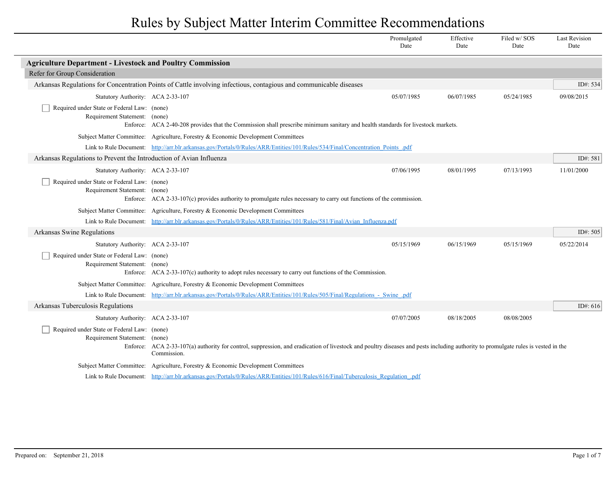|                                                                              |                                                                                                                                                                                                  | Promulgated<br>Date | Effective<br>Date | Filed w/SOS<br>Date | <b>Last Revision</b><br>Date |
|------------------------------------------------------------------------------|--------------------------------------------------------------------------------------------------------------------------------------------------------------------------------------------------|---------------------|-------------------|---------------------|------------------------------|
| <b>Agriculture Department - Livestock and Poultry Commission</b>             |                                                                                                                                                                                                  |                     |                   |                     |                              |
| Refer for Group Consideration                                                |                                                                                                                                                                                                  |                     |                   |                     |                              |
|                                                                              | Arkansas Regulations for Concentration Points of Cattle involving infectious, contagious and communicable diseases                                                                               |                     |                   |                     | ID#: 534                     |
| Statutory Authority: ACA 2-33-107                                            |                                                                                                                                                                                                  | 05/07/1985          | 06/07/1985        | 05/24/1985          | 09/08/2015                   |
| Required under State or Federal Law: (none)<br>Requirement Statement: (none) | Enforce: ACA 2-40-208 provides that the Commission shall prescribe minimum sanitary and health standards for livestock markets.                                                                  |                     |                   |                     |                              |
|                                                                              | Subject Matter Committee: Agriculture, Forestry & Economic Development Committees                                                                                                                |                     |                   |                     |                              |
|                                                                              | Link to Rule Document: http://arr.blr.arkansas.gov/Portals/0/Rules/ARR/Entities/101/Rules/534/Final/Concentration Points .pdf                                                                    |                     |                   |                     |                              |
| Arkansas Regulations to Prevent the Introduction of Avian Influenza          |                                                                                                                                                                                                  |                     |                   |                     | ID#: 581                     |
| Statutory Authority: ACA 2-33-107                                            |                                                                                                                                                                                                  | 07/06/1995          | 08/01/1995        | 07/13/1993          | 11/01/2000                   |
| Required under State or Federal Law: (none)<br>Requirement Statement: (none) | Enforce: ACA 2-33-107(c) provides authority to promulgate rules necessary to carry out functions of the commission.                                                                              |                     |                   |                     |                              |
|                                                                              | Subject Matter Committee: Agriculture, Forestry & Economic Development Committees                                                                                                                |                     |                   |                     |                              |
|                                                                              | Link to Rule Document: http://arr.blr.arkansas.gov/Portals/0/Rules/ARR/Entities/101/Rules/581/Final/Avian Influenza.pdf                                                                          |                     |                   |                     |                              |
| Arkansas Swine Regulations                                                   |                                                                                                                                                                                                  |                     |                   |                     | ID#: 505                     |
| Statutory Authority: ACA 2-33-107                                            |                                                                                                                                                                                                  | 05/15/1969          | 06/15/1969        | 05/15/1969          | 05/22/2014                   |
| Required under State or Federal Law: (none)<br>Requirement Statement: (none) | Enforce: ACA 2-33-107(c) authority to adopt rules necessary to carry out functions of the Commission.                                                                                            |                     |                   |                     |                              |
|                                                                              | Subject Matter Committee: Agriculture, Forestry & Economic Development Committees                                                                                                                |                     |                   |                     |                              |
|                                                                              | Link to Rule Document: http://arr.blr.arkansas.gov/Portals/0/Rules/ARR/Entities/101/Rules/505/Final/Regulations - Swine .pdf                                                                     |                     |                   |                     |                              |
| Arkansas Tuberculosis Regulations                                            |                                                                                                                                                                                                  |                     |                   |                     | ID#: $616$                   |
| Statutory Authority: ACA 2-33-107                                            |                                                                                                                                                                                                  | 07/07/2005          | 08/18/2005        | 08/08/2005          |                              |
| Required under State or Federal Law: (none)<br>Requirement Statement: (none) | Enforce: ACA 2-33-107(a) authority for control, suppression, and eradication of livestock and poultry diseases and pests including authority to promulgate rules is vested in the<br>Commission. |                     |                   |                     |                              |
| Subject Matter Committee:                                                    | Agriculture, Forestry & Economic Development Committees                                                                                                                                          |                     |                   |                     |                              |
|                                                                              | Link to Rule Document: http://arr.blr.arkansas.gov/Portals/0/Rules/ARR/Entities/101/Rules/616/Final/Tuberculosis Regulation .pdf                                                                 |                     |                   |                     |                              |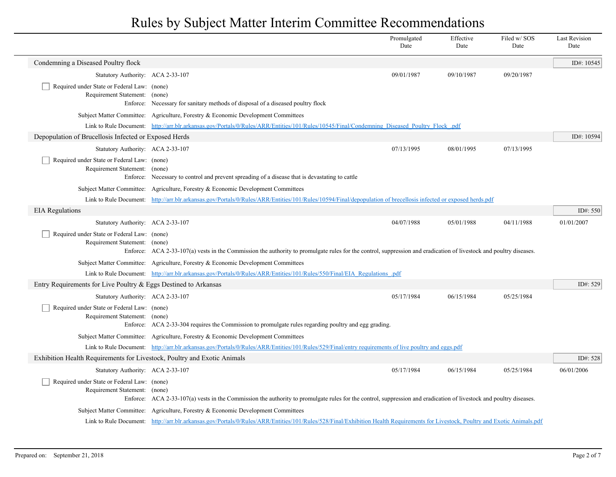|                                                                              |                                                                                                                                                                                  | Promulgated<br>Date | Effective<br>Date | Filed w/SOS<br>Date | <b>Last Revision</b><br>Date |
|------------------------------------------------------------------------------|----------------------------------------------------------------------------------------------------------------------------------------------------------------------------------|---------------------|-------------------|---------------------|------------------------------|
| Condemning a Diseased Poultry flock                                          |                                                                                                                                                                                  |                     |                   |                     | ID#: 10545                   |
| Statutory Authority: ACA 2-33-107                                            |                                                                                                                                                                                  | 09/01/1987          | 09/10/1987        | 09/20/1987          |                              |
| Required under State or Federal Law: (none)<br>Requirement Statement: (none) | Enforce: Necessary for sanitary methods of disposal of a diseased poultry flock                                                                                                  |                     |                   |                     |                              |
|                                                                              | Subject Matter Committee: Agriculture, Forestry & Economic Development Committees                                                                                                |                     |                   |                     |                              |
|                                                                              | Link to Rule Document: http://arr.blr.arkansas.gov/Portals/0/Rules/ARR/Entities/101/Rules/10545/Final/Condemning Diseased Poultry Flock pdf                                      |                     |                   |                     |                              |
| Depopulation of Brucellosis Infected or Exposed Herds                        |                                                                                                                                                                                  |                     |                   |                     | ID#: 10594                   |
| Statutory Authority: ACA 2-33-107                                            |                                                                                                                                                                                  | 07/13/1995          | 08/01/1995        | 07/13/1995          |                              |
| Required under State or Federal Law: (none)<br>Requirement Statement: (none) | Enforce: Necessary to control and prevent spreading of a disease that is devastating to cattle                                                                                   |                     |                   |                     |                              |
|                                                                              | Subject Matter Committee: Agriculture, Forestry & Economic Development Committees                                                                                                |                     |                   |                     |                              |
|                                                                              | Link to Rule Document: http://arr.blr.arkansas.gov/Portals/0/Rules/ARR/Entities/101/Rules/10594/Final/depopulation of brecellosis infected or exposed herds.pdf                  |                     |                   |                     |                              |
| <b>EIA</b> Regulations                                                       |                                                                                                                                                                                  |                     |                   |                     | ID#: 550                     |
| Statutory Authority: ACA 2-33-107                                            |                                                                                                                                                                                  | 04/07/1988          | 05/01/1988        | 04/11/1988          | 01/01/2007                   |
| Required under State or Federal Law: (none)<br>Requirement Statement: (none) | Enforce: ACA 2-33-107(a) vests in the Commission the authority to promulgate rules for the control, suppression and eradication of livestock and poultry diseases.               |                     |                   |                     |                              |
|                                                                              | Subject Matter Committee: Agriculture, Forestry & Economic Development Committees                                                                                                |                     |                   |                     |                              |
|                                                                              | Link to Rule Document: http://arr.blr.arkansas.gov/Portals/0/Rules/ARR/Entities/101/Rules/550/Final/EIA Regulations .pdf                                                         |                     |                   |                     |                              |
| Entry Requirements for Live Poultry & Eggs Destined to Arkansas              |                                                                                                                                                                                  |                     |                   |                     | ID#: $529$                   |
| Statutory Authority: ACA 2-33-107                                            |                                                                                                                                                                                  | 05/17/1984          | 06/15/1984        | 05/25/1984          |                              |
| Required under State or Federal Law: (none)<br>Requirement Statement: (none) | Enforce: ACA 2-33-304 requires the Commission to promulgate rules regarding poultry and egg grading.                                                                             |                     |                   |                     |                              |
|                                                                              | Subject Matter Committee: Agriculture, Forestry & Economic Development Committees                                                                                                |                     |                   |                     |                              |
|                                                                              | Link to Rule Document: http://arr.blr.arkansas.gov/Portals/0/Rules/ARR/Entities/101/Rules/529/Final/entry requirements of live poultry and eggs.pdf                              |                     |                   |                     |                              |
| Exhibition Health Requirements for Livestock, Poultry and Exotic Animals     |                                                                                                                                                                                  |                     |                   |                     | ID#: 528                     |
| Statutory Authority: ACA 2-33-107                                            |                                                                                                                                                                                  | 05/17/1984          | 06/15/1984        | 05/25/1984          | 06/01/2006                   |
| Required under State or Federal Law: (none)<br>Requirement Statement: (none) | Enforce: ACA 2-33-107(a) vests in the Commission the authority to promulgate rules for the control, suppression and eradication of livestock and poultry diseases.               |                     |                   |                     |                              |
|                                                                              | Subject Matter Committee: Agriculture, Forestry & Economic Development Committees                                                                                                |                     |                   |                     |                              |
|                                                                              | Link to Rule Document: http://arr.blr.arkansas.gov/Portals/0/Rules/ARR/Entities/101/Rules/528/Final/Exhibition Health Requirements for Livestock, Poultry and Exotic Animals.pdf |                     |                   |                     |                              |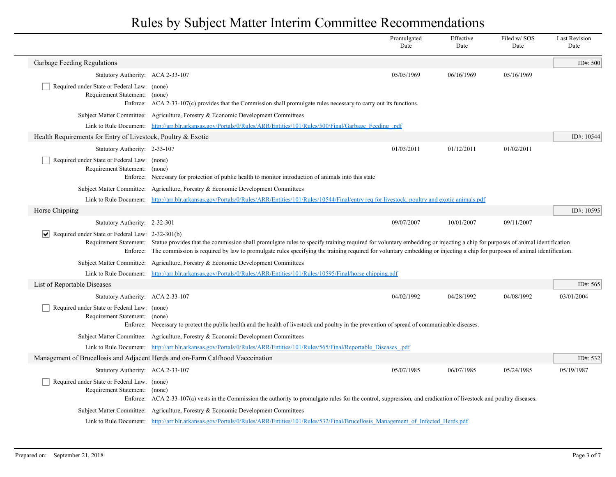|                                                                              |                                                                                                                                                                                                                                                                                                                                                                                        | Promulgated<br>Date | Effective<br>Date | Filed w/SOS<br>Date | <b>Last Revision</b><br>Date |
|------------------------------------------------------------------------------|----------------------------------------------------------------------------------------------------------------------------------------------------------------------------------------------------------------------------------------------------------------------------------------------------------------------------------------------------------------------------------------|---------------------|-------------------|---------------------|------------------------------|
| Garbage Feeding Regulations                                                  |                                                                                                                                                                                                                                                                                                                                                                                        |                     |                   |                     | ID#: 500                     |
| Statutory Authority: ACA 2-33-107                                            |                                                                                                                                                                                                                                                                                                                                                                                        | 05/05/1969          | 06/16/1969        | 05/16/1969          |                              |
| Required under State or Federal Law: (none)<br>Requirement Statement: (none) | Enforce: ACA 2-33-107(c) provides that the Commission shall promulgate rules necessary to carry out its functions.                                                                                                                                                                                                                                                                     |                     |                   |                     |                              |
|                                                                              | Subject Matter Committee: Agriculture, Forestry & Economic Development Committees                                                                                                                                                                                                                                                                                                      |                     |                   |                     |                              |
|                                                                              | Link to Rule Document: http://arr.blr.arkansas.gov/Portals/0/Rules/ARR/Entities/101/Rules/500/Final/Garbage Feeding .pdf                                                                                                                                                                                                                                                               |                     |                   |                     |                              |
| Health Requirements for Entry of Livestock, Poultry & Exotic                 |                                                                                                                                                                                                                                                                                                                                                                                        |                     |                   |                     | ID#: 10544                   |
| Statutory Authority: 2-33-107                                                |                                                                                                                                                                                                                                                                                                                                                                                        | 01/03/2011          | 01/12/2011        | 01/02/2011          |                              |
| Required under State or Federal Law: (none)<br>Requirement Statement: (none) | Enforce: Necessary for protection of public health to monitor introduction of animals into this state                                                                                                                                                                                                                                                                                  |                     |                   |                     |                              |
|                                                                              | Subject Matter Committee: Agriculture, Forestry & Economic Development Committees                                                                                                                                                                                                                                                                                                      |                     |                   |                     |                              |
|                                                                              | Link to Rule Document: http://arr.blr.arkansas.gov/Portals/0/Rules/ARR/Entities/101/Rules/10544/Final/entry req for livestock, poultry and exotic animals.pdf                                                                                                                                                                                                                          |                     |                   |                     |                              |
| Horse Chipping                                                               |                                                                                                                                                                                                                                                                                                                                                                                        |                     |                   |                     | ID#: 10595                   |
| Statutory Authority: 2-32-301                                                |                                                                                                                                                                                                                                                                                                                                                                                        | 09/07/2007          | 10/01/2007        | 09/11/2007          |                              |
| $ \mathbf{v} $ Required under State or Federal Law: 2-32-301(b)              | Requirement Statement: Statue provides that the commission shall promulgate rules to specify training required for voluntary embedding or injecting a chip for purposes of animal identification<br>Enforce: The commission is required by law to promulgate rules specifying the training required for voluntary embedding or injecting a chip for purposes of animal identification. |                     |                   |                     |                              |
|                                                                              | Subject Matter Committee: Agriculture, Forestry & Economic Development Committees                                                                                                                                                                                                                                                                                                      |                     |                   |                     |                              |
|                                                                              | Link to Rule Document: http://arr.blr.arkansas.gov/Portals/0/Rules/ARR/Entities/101/Rules/10595/Final/horse chipping.pdf                                                                                                                                                                                                                                                               |                     |                   |                     |                              |
| List of Reportable Diseases                                                  |                                                                                                                                                                                                                                                                                                                                                                                        |                     |                   |                     | ID#: 565                     |
| Statutory Authority: ACA 2-33-107                                            |                                                                                                                                                                                                                                                                                                                                                                                        | 04/02/1992          | 04/28/1992        | 04/08/1992          | 03/01/2004                   |
| Required under State or Federal Law: (none)<br>Requirement Statement: (none) | Enforce: Necessary to protect the public health and the health of livestock and poultry in the prevention of spread of communicable diseases.                                                                                                                                                                                                                                          |                     |                   |                     |                              |
|                                                                              | Subject Matter Committee: Agriculture, Forestry & Economic Development Committees                                                                                                                                                                                                                                                                                                      |                     |                   |                     |                              |
|                                                                              | Link to Rule Document: http://arr.blr.arkansas.gov/Portals/0/Rules/ARR/Entities/101/Rules/565/Final/Reportable Diseases .pdf                                                                                                                                                                                                                                                           |                     |                   |                     |                              |
|                                                                              | Management of Brucellosis and Adjacent Herds and on-Farm Calfhood Vacccination                                                                                                                                                                                                                                                                                                         |                     |                   |                     | ID#: 532                     |
| Statutory Authority: ACA 2-33-107                                            |                                                                                                                                                                                                                                                                                                                                                                                        | 05/07/1985          | 06/07/1985        | 05/24/1985          | 05/19/1987                   |
| Required under State or Federal Law: (none)<br>Requirement Statement:        | (none)<br>Enforce: ACA 2-33-107(a) vests in the Commission the authority to promulgate rules for the control, suppression, and eradication of livestock and poultry diseases.                                                                                                                                                                                                          |                     |                   |                     |                              |
|                                                                              | Subject Matter Committee: Agriculture, Forestry & Economic Development Committees                                                                                                                                                                                                                                                                                                      |                     |                   |                     |                              |
|                                                                              | Link to Rule Document: http://arr.blr.arkansas.gov/Portals/0/Rules/ARR/Entities/101/Rules/532/Final/Brucellosis Management of Infected Herds.pdf                                                                                                                                                                                                                                       |                     |                   |                     |                              |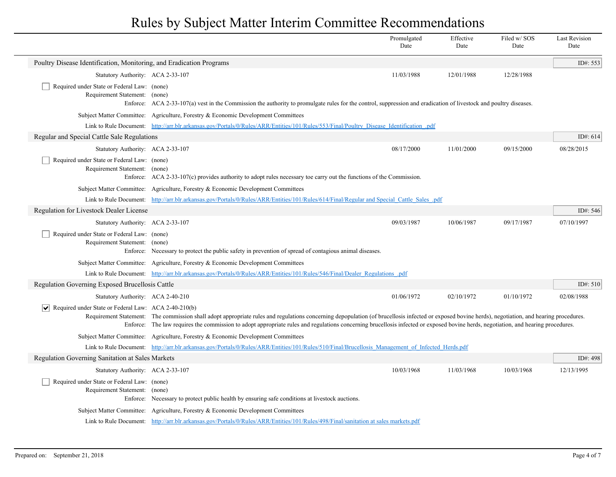|                                                                                                                   |                                                                                                                                                                                                                                                                                                                                                                                          | Promulgated<br>Date | Effective<br>Date | Filed w/SOS<br>Date | <b>Last Revision</b><br>Date |
|-------------------------------------------------------------------------------------------------------------------|------------------------------------------------------------------------------------------------------------------------------------------------------------------------------------------------------------------------------------------------------------------------------------------------------------------------------------------------------------------------------------------|---------------------|-------------------|---------------------|------------------------------|
| Poultry Disease Identification, Monitoring, and Eradication Programs                                              |                                                                                                                                                                                                                                                                                                                                                                                          |                     |                   |                     | ID#: $553$                   |
| Statutory Authority: ACA 2-33-107                                                                                 |                                                                                                                                                                                                                                                                                                                                                                                          | 11/03/1988          | 12/01/1988        | 12/28/1988          |                              |
| Required under State or Federal Law: (none)<br>Requirement Statement: (none)                                      | Enforce: ACA 2-33-107(a) vest in the Commission the authority to promulgate rules for the control, suppression and eradication of livestock and poultry diseases.                                                                                                                                                                                                                        |                     |                   |                     |                              |
|                                                                                                                   | Subject Matter Committee: Agriculture, Forestry & Economic Development Committees                                                                                                                                                                                                                                                                                                        |                     |                   |                     |                              |
|                                                                                                                   | Link to Rule Document: http://arr.blr.arkansas.gov/Portals/0/Rules/ARR/Entities/101/Rules/553/Final/Poultry Disease Identification .pdf                                                                                                                                                                                                                                                  |                     |                   |                     |                              |
| Regular and Special Cattle Sale Regulations                                                                       |                                                                                                                                                                                                                                                                                                                                                                                          |                     |                   |                     | ID#: $614$                   |
| Statutory Authority: ACA 2-33-107                                                                                 |                                                                                                                                                                                                                                                                                                                                                                                          | 08/17/2000          | 11/01/2000        | 09/15/2000          | 08/28/2015                   |
| Required under State or Federal Law: (none)<br>Requirement Statement: (none)                                      | Enforce: ACA 2-33-107(c) provides authority to adopt rules necessary toe carry out the functions of the Commission.                                                                                                                                                                                                                                                                      |                     |                   |                     |                              |
|                                                                                                                   | Subject Matter Committee: Agriculture, Forestry & Economic Development Committees                                                                                                                                                                                                                                                                                                        |                     |                   |                     |                              |
|                                                                                                                   | Link to Rule Document: http://arr.blr.arkansas.gov/Portals/0/Rules/ARR/Entities/101/Rules/614/Final/Regular and Special Cattle Sales .pdf                                                                                                                                                                                                                                                |                     |                   |                     |                              |
| Regulation for Livestock Dealer License                                                                           |                                                                                                                                                                                                                                                                                                                                                                                          |                     |                   |                     | ID#: 546                     |
| Statutory Authority: ACA 2-33-107<br>Required under State or Federal Law: (none)<br>Requirement Statement: (none) | Enforce: Necessary to protect the public safety in prevention of spread of contagious animal diseases.                                                                                                                                                                                                                                                                                   | 09/03/1987          | 10/06/1987        | 09/17/1987          | 07/10/1997                   |
|                                                                                                                   | Subject Matter Committee: Agriculture, Forestry & Economic Development Committees                                                                                                                                                                                                                                                                                                        |                     |                   |                     |                              |
|                                                                                                                   | Link to Rule Document: http://arr.blr.arkansas.gov/Portals/0/Rules/ARR/Entities/101/Rules/546/Final/Dealer Regulations .pdf                                                                                                                                                                                                                                                              |                     |                   |                     |                              |
| Regulation Governing Exposed Brucellosis Cattle                                                                   |                                                                                                                                                                                                                                                                                                                                                                                          |                     |                   |                     | ID#: 510                     |
| Statutory Authority: ACA 2-40-210                                                                                 |                                                                                                                                                                                                                                                                                                                                                                                          | 01/06/1972          | 02/10/1972        | 01/10/1972          | 02/08/1988                   |
| Required under State or Federal Law: ACA 2-40-210(b)                                                              | Requirement Statement: The commission shall adopt appropriate rules and regulations concerning depopulation (of brucellosis infected or exposed bovine herds), negotiation, and hearing procedures.<br>Enforce: The law requires the commission to adopt appropriate rules and regulations concerning brucellosis infected or exposed bovine herds, negotiation, and hearing procedures. |                     |                   |                     |                              |
|                                                                                                                   | Subject Matter Committee: Agriculture, Forestry & Economic Development Committees                                                                                                                                                                                                                                                                                                        |                     |                   |                     |                              |
|                                                                                                                   | Link to Rule Document: http://arr.blr.arkansas.gov/Portals/0/Rules/ARR/Entities/101/Rules/510/Final/Brucellosis Management of Infected Herds.pdf                                                                                                                                                                                                                                         |                     |                   |                     |                              |
| Regulation Governing Sanitation at Sales Markets                                                                  |                                                                                                                                                                                                                                                                                                                                                                                          |                     |                   |                     | ID#: 498                     |
| Statutory Authority: ACA 2-33-107                                                                                 |                                                                                                                                                                                                                                                                                                                                                                                          | 10/03/1968          | 11/03/1968        | 10/03/1968          | 12/13/1995                   |
| Required under State or Federal Law: (none)<br>Requirement Statement: (none)                                      | Enforce: Necessary to protect public health by ensuring safe conditions at livestock auctions.                                                                                                                                                                                                                                                                                           |                     |                   |                     |                              |
|                                                                                                                   | Subject Matter Committee: Agriculture, Forestry & Economic Development Committees                                                                                                                                                                                                                                                                                                        |                     |                   |                     |                              |
|                                                                                                                   | Link to Rule Document: http://arr.blr.arkansas.gov/Portals/0/Rules/ARR/Entities/101/Rules/498/Final/sanitation at sales markets.pdf                                                                                                                                                                                                                                                      |                     |                   |                     |                              |

 $\overline{\phantom{a}}$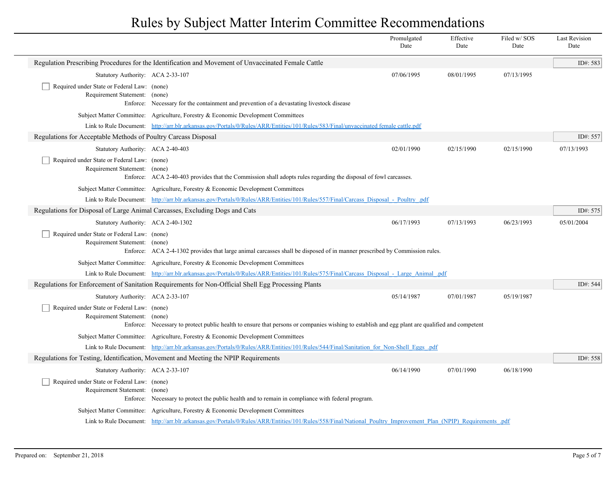|                                                                              |                                                                                                                                                                | Promulgated<br>Date | Effective<br>Date | Filed w/SOS<br>Date | <b>Last Revision</b><br>Date |
|------------------------------------------------------------------------------|----------------------------------------------------------------------------------------------------------------------------------------------------------------|---------------------|-------------------|---------------------|------------------------------|
|                                                                              | Regulation Prescribing Procedures for the Identification and Movement of Unvaccinated Female Cattle                                                            |                     |                   |                     | ID#: 583                     |
| Statutory Authority: ACA 2-33-107                                            |                                                                                                                                                                | 07/06/1995          | 08/01/1995        | 07/13/1995          |                              |
| Required under State or Federal Law: (none)<br>Requirement Statement: (none) | Enforce: Necessary for the containment and prevention of a devastating livestock disease                                                                       |                     |                   |                     |                              |
|                                                                              | Subject Matter Committee: Agriculture, Forestry & Economic Development Committees                                                                              |                     |                   |                     |                              |
|                                                                              | Link to Rule Document: http://arr.blr.arkansas.gov/Portals/0/Rules/ARR/Entities/101/Rules/583/Final/unvaccinated female cattle.pdf                             |                     |                   |                     |                              |
| Regulations for Acceptable Methods of Poultry Carcass Disposal               |                                                                                                                                                                |                     |                   |                     | ID#: 557                     |
| Statutory Authority: ACA 2-40-403                                            |                                                                                                                                                                | 02/01/1990          | 02/15/1990        | 02/15/1990          | 07/13/1993                   |
| Required under State or Federal Law: (none)<br>Requirement Statement: (none) | Enforce: ACA 2-40-403 provides that the Commission shall adopts rules regarding the disposal of fowl carcasses.                                                |                     |                   |                     |                              |
|                                                                              | Subject Matter Committee: Agriculture, Forestry & Economic Development Committees                                                                              |                     |                   |                     |                              |
|                                                                              | Link to Rule Document: http://arr.blr.arkansas.gov/Portals/0/Rules/ARR/Entities/101/Rules/557/Final/Carcass Disposal - Poultry .pdf                            |                     |                   |                     |                              |
| Regulations for Disposal of Large Animal Carcasses, Excluding Dogs and Cats  |                                                                                                                                                                |                     |                   |                     | ID#: $575$                   |
| Statutory Authority: ACA 2-40-1302                                           |                                                                                                                                                                | 06/17/1993          | 07/13/1993        | 06/23/1993          | 05/01/2004                   |
| Required under State or Federal Law: (none)<br>Requirement Statement: (none) | Enforce: ACA 2-4-1302 provides that large animal carcasses shall be disposed of in manner prescribed by Commission rules.                                      |                     |                   |                     |                              |
|                                                                              | Subject Matter Committee: Agriculture, Forestry & Economic Development Committees                                                                              |                     |                   |                     |                              |
|                                                                              | Link to Rule Document: http://arr.blr.arkansas.gov/Portals/0/Rules/ARR/Entities/101/Rules/575/Final/Carcass Disposal - Large Animal .pdf                       |                     |                   |                     |                              |
|                                                                              | Regulations for Enforcement of Sanitation Requirements for Non-Official Shell Egg Processing Plants                                                            |                     |                   |                     | ID#: 544                     |
| Statutory Authority: ACA 2-33-107                                            |                                                                                                                                                                | 05/14/1987          | 07/01/1987        | 05/19/1987          |                              |
| Required under State or Federal Law: (none)<br>Requirement Statement: (none) | Enforce: Necessary to protect public health to ensure that persons or companies wishing to establish and egg plant are qualified and competent                 |                     |                   |                     |                              |
|                                                                              | Subject Matter Committee: Agriculture, Forestry & Economic Development Committees                                                                              |                     |                   |                     |                              |
|                                                                              | Link to Rule Document: http://arr.blr.arkansas.gov/Portals/0/Rules/ARR/Entities/101/Rules/544/Final/Sanitation for Non-Shell Eggs .pdf                         |                     |                   |                     |                              |
|                                                                              | Regulations for Testing, Identification, Movement and Meeting the NPIP Requirements                                                                            |                     |                   |                     | ID#: 558                     |
| Statutory Authority: ACA 2-33-107                                            |                                                                                                                                                                | 06/14/1990          | 07/01/1990        | 06/18/1990          |                              |
| Required under State or Federal Law: (none)<br>Requirement Statement: (none) | Enforce: Necessary to protect the public health and to remain in compliance with federal program.                                                              |                     |                   |                     |                              |
|                                                                              | Subject Matter Committee: Agriculture, Forestry & Economic Development Committees                                                                              |                     |                   |                     |                              |
|                                                                              | Link to Rule Document: http://arr.blr.arkansas.gov/Portals/0/Rules/ARR/Entities/101/Rules/558/Final/National Poultry Improvement Plan (NPIP) Requirements .pdf |                     |                   |                     |                              |
|                                                                              |                                                                                                                                                                |                     |                   |                     |                              |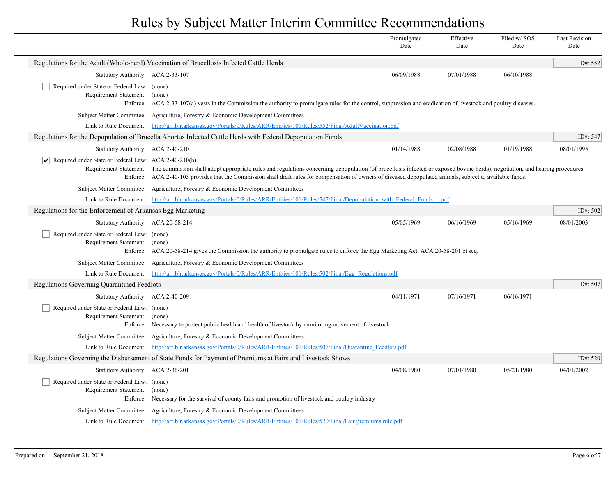|                                                                                   |                                                                                                                                                                                                                                                                                                                                                                     | Promulgated<br>Date | Effective<br>Date | Filed w/SOS<br>Date | <b>Last Revision</b><br>Date |
|-----------------------------------------------------------------------------------|---------------------------------------------------------------------------------------------------------------------------------------------------------------------------------------------------------------------------------------------------------------------------------------------------------------------------------------------------------------------|---------------------|-------------------|---------------------|------------------------------|
|                                                                                   | Regulations for the Adult (Whole-herd) Vaccination of Brucellosis Infected Cattle Herds                                                                                                                                                                                                                                                                             |                     |                   |                     | ID#: 552                     |
| Statutory Authority: ACA 2-33-107                                                 |                                                                                                                                                                                                                                                                                                                                                                     | 06/09/1988          | 07/01/1988        | 06/10/1988          |                              |
| Required under State or Federal Law: (none)<br>Requirement Statement: (none)      | Enforce: ACA 2-33-107(a) vests in the Commission the authority to promulgate rules for the control, suppression and eradication of livestock and poultry diseases.                                                                                                                                                                                                  |                     |                   |                     |                              |
|                                                                                   | Subject Matter Committee: Agriculture, Forestry & Economic Development Committees                                                                                                                                                                                                                                                                                   |                     |                   |                     |                              |
|                                                                                   | Link to Rule Document: http://arr.blr.arkansas.gov/Portals/0/Rules/ARR/Entities/101/Rules/552/Final/AdultVaccination.pdf                                                                                                                                                                                                                                            |                     |                   |                     |                              |
|                                                                                   | Regulations for the Depopulation of Brucella Abortus Infected Cattle Herds with Federal Depopulation Funds                                                                                                                                                                                                                                                          |                     |                   |                     | ID#: 547                     |
| Statutory Authority: ACA 2-40-210                                                 |                                                                                                                                                                                                                                                                                                                                                                     | 01/14/1988          | 02/08/1988        | 01/19/1988          | 08/01/1995                   |
| $ \mathbf{v} $ Required under State or Federal Law: ACA 2-40-210(b)               | Requirement Statement: The commission shall adopt appropriate rules and regulations concerning depopulation (of brucellosis infected or exposed bovine herds), negotiation, and hearing procedures.<br>Enforce: ACA 2-40-103 provides that the Commission shall draft rules for compensation of owners of diseased depopulated animals, subject to available funds. |                     |                   |                     |                              |
|                                                                                   | Subject Matter Committee: Agriculture, Forestry & Economic Development Committees                                                                                                                                                                                                                                                                                   |                     |                   |                     |                              |
|                                                                                   | Link to Rule Document: http://arr.blr.arkansas.gov/Portals/0/Rules/ARR/Entities/101/Rules/547/Final/Depopulation with Federal Funds pdf                                                                                                                                                                                                                             |                     |                   |                     |                              |
| Regulations for the Enforcement of Arkansas Egg Marketing                         |                                                                                                                                                                                                                                                                                                                                                                     |                     |                   |                     | ID#: 502                     |
| Statutory Authority: ACA 20-58-214                                                |                                                                                                                                                                                                                                                                                                                                                                     | 05/05/1969          | 06/16/1969        | 05/16/1969          | 08/01/2003                   |
| Required under State or Federal Law: (none)<br>Requirement Statement: (none)      | Enforce: ACA 20-58-214 gives the Commission the authority to promulgate rules to enforce the Egg Marketing Act, ACA 20-58-201 et seq.                                                                                                                                                                                                                               |                     |                   |                     |                              |
|                                                                                   | Subject Matter Committee: Agriculture, Forestry & Economic Development Committees                                                                                                                                                                                                                                                                                   |                     |                   |                     |                              |
|                                                                                   | Link to Rule Document: http://arr.blr.arkansas.gov/Portals/0/Rules/ARR/Entities/101/Rules/502/Final/Egg Regulations.pdf                                                                                                                                                                                                                                             |                     |                   |                     |                              |
| <b>Regulations Governing Quarantined Feedlots</b>                                 |                                                                                                                                                                                                                                                                                                                                                                     |                     |                   |                     | ID#: 507                     |
| Statutory Authority: ACA 2-40-209                                                 |                                                                                                                                                                                                                                                                                                                                                                     | 04/11/1971          | 07/16/1971        | 06/16/1971          |                              |
| Required under State or Federal Law: (none)<br>Requirement Statement:             | (none)<br>Enforce: Necessary to protect public health and health of livestock by monitoring movement of livestock                                                                                                                                                                                                                                                   |                     |                   |                     |                              |
|                                                                                   | Subject Matter Committee: Agriculture, Forestry & Economic Development Committees                                                                                                                                                                                                                                                                                   |                     |                   |                     |                              |
|                                                                                   | Link to Rule Document: http://arr.blr.arkansas.gov/Portals/0/Rules/ARR/Entities/101/Rules/507/Final/Quarantine Feedlots.pdf                                                                                                                                                                                                                                         |                     |                   |                     |                              |
|                                                                                   | Regulations Governing the Disbursement of State Funds for Payment of Premiums at Fairs and Livestock Shows                                                                                                                                                                                                                                                          |                     |                   |                     | ID#: 520                     |
| Statutory Authority: ACA 2-36-201                                                 |                                                                                                                                                                                                                                                                                                                                                                     | 04/08/1980          | 07/01/1980        | 05/21/1980          | 04/01/2002                   |
| Required under State or Federal Law: (none)<br>Requirement Statement:<br>Enforce: | (none)<br>Necessary for the survival of county fairs and promotion of livestock and poultry industry                                                                                                                                                                                                                                                                |                     |                   |                     |                              |
|                                                                                   | Subject Matter Committee: Agriculture, Forestry & Economic Development Committees                                                                                                                                                                                                                                                                                   |                     |                   |                     |                              |
|                                                                                   | Link to Rule Document: http://arr.blr.arkansas.gov/Portals/0/Rules/ARR/Entities/101/Rules/520/Final/Fair premiums rule.pdf                                                                                                                                                                                                                                          |                     |                   |                     |                              |